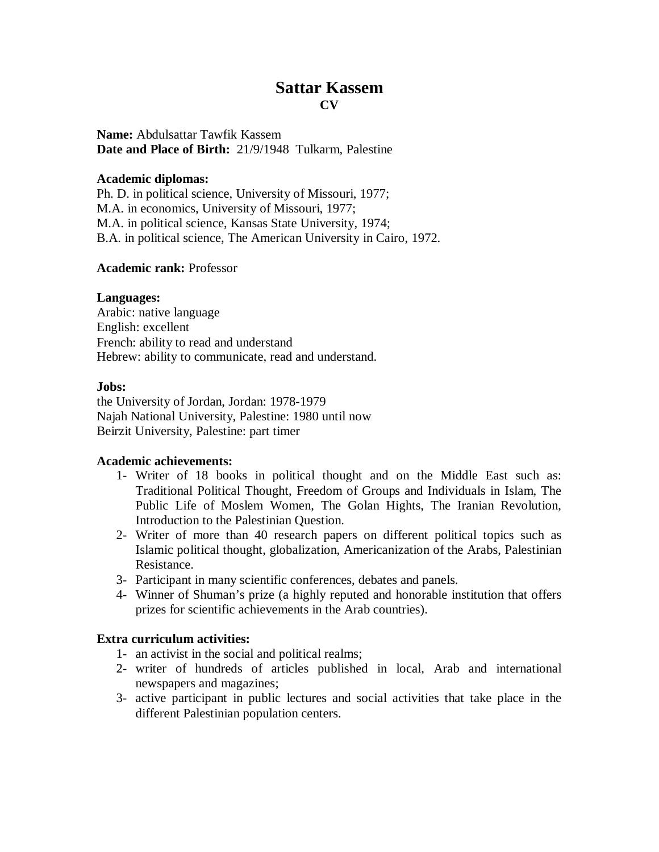# **Sattar Kassem CV**

**Name:** Abdulsattar Tawfik Kassem **Date and Place of Birth:** 21/9/1948 Tulkarm, Palestine

### **Academic diplomas:**

Ph. D. in political science, University of Missouri, 1977; M.A. in economics, University of Missouri, 1977; M.A. in political science, Kansas State University, 1974; B.A. in political science, The American University in Cairo, 1972.

#### **Academic rank:** Professor

## **Languages:**

Arabic: native language English: excellent French: ability to read and understand Hebrew: ability to communicate, read and understand.

#### **Jobs:**

the University of Jordan, Jordan: 1978-1979 Najah National University, Palestine: 1980 until now Beirzit University, Palestine: part timer

## **Academic achievements:**

- 1- Writer of 18 books in political thought and on the Middle East such as: Traditional Political Thought, Freedom of Groups and Individuals in Islam, The Public Life of Moslem Women, The Golan Hights, The Iranian Revolution, Introduction to the Palestinian Question.
- 2- Writer of more than 40 research papers on different political topics such as Islamic political thought, globalization, Americanization of the Arabs, Palestinian Resistance.
- 3- Participant in many scientific conferences, debates and panels.
- 4- Winner of Shuman's prize (a highly reputed and honorable institution that offers prizes for scientific achievements in the Arab countries).

## **Extra curriculum activities:**

- 1- an activist in the social and political realms;
- 2- writer of hundreds of articles published in local, Arab and international newspapers and magazines;
- 3- active participant in public lectures and social activities that take place in the different Palestinian population centers.